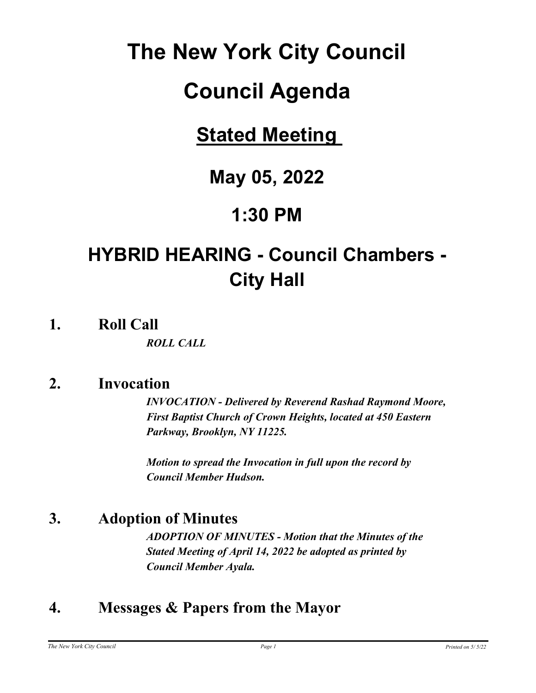# **The New York City Council**

# **Council Agenda**

## **Stated Meeting**

## **May 05, 2022**

## **1:30 PM**

## **HYBRID HEARING - Council Chambers - City Hall**

**1. Roll Call**

*ROLL CALL*

## **2. Invocation**

*INVOCATION - Delivered by Reverend Rashad Raymond Moore, First Baptist Church of Crown Heights, located at 450 Eastern Parkway, Brooklyn, NY 11225.*

*Motion to spread the Invocation in full upon the record by Council Member Hudson.*

## **3. Adoption of Minutes**

*ADOPTION OF MINUTES - Motion that the Minutes of the Stated Meeting of April 14, 2022 be adopted as printed by Council Member Ayala.*

## **4. Messages & Papers from the Mayor**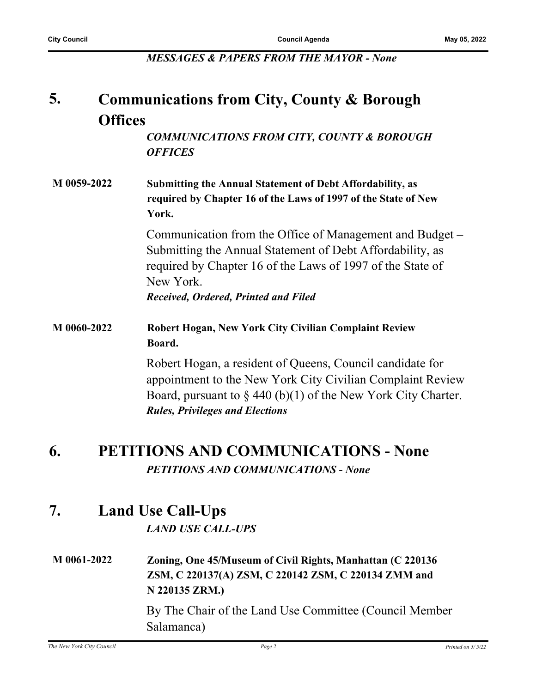*MESSAGES & PAPERS FROM THE MAYOR - None*

#### **Communications from City, County & Borough Offices 5.**

*COMMUNICATIONS FROM CITY, COUNTY & BOROUGH OFFICES*

**M 0059-2022 Submitting the Annual Statement of Debt Affordability, as required by Chapter 16 of the Laws of 1997 of the State of New York.**

> Communication from the Office of Management and Budget – Submitting the Annual Statement of Debt Affordability, as required by Chapter 16 of the Laws of 1997 of the State of New York. *Received, Ordered, Printed and Filed*

**M 0060-2022 Robert Hogan, New York City Civilian Complaint Review Board.**

> Robert Hogan, a resident of Queens, Council candidate for appointment to the New York City Civilian Complaint Review Board, pursuant to  $\S 440 (b)(1)$  of the New York City Charter. *Rules, Privileges and Elections*

## **6. PETITIONS AND COMMUNICATIONS - None** *PETITIONS AND COMMUNICATIONS - None*

## **7. Land Use Call-Ups**

#### *LAND USE CALL-UPS*

**M 0061-2022 Zoning, One 45/Museum of Civil Rights, Manhattan (C 220136 ZSM, C 220137(A) ZSM, C 220142 ZSM, C 220134 ZMM and N 220135 ZRM.)**

> By The Chair of the Land Use Committee (Council Member Salamanca)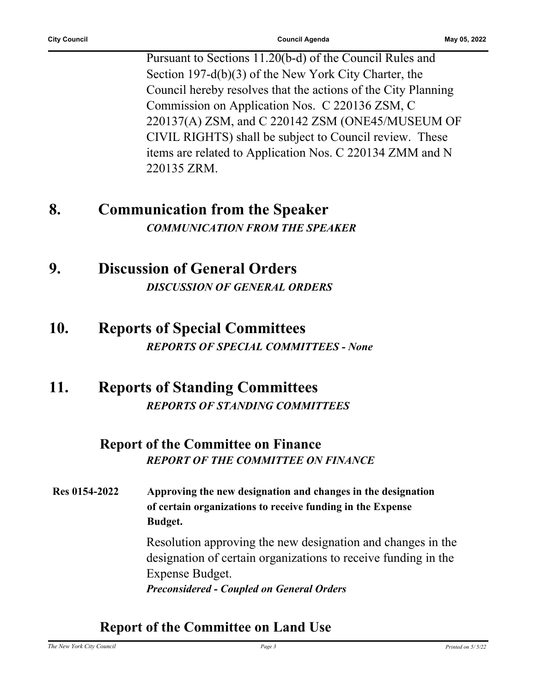Pursuant to Sections 11.20(b-d) of the Council Rules and Section 197-d(b)(3) of the New York City Charter, the Council hereby resolves that the actions of the City Planning Commission on Application Nos. C 220136 ZSM, C 220137(A) ZSM, and C 220142 ZSM (ONE45/MUSEUM OF CIVIL RIGHTS) shall be subject to Council review. These items are related to Application Nos. C 220134 ZMM and N 220135 ZRM.

## **8. Communication from the Speaker** *COMMUNICATION FROM THE SPEAKER*

- **9. Discussion of General Orders** *DISCUSSION OF GENERAL ORDERS*
- **10. Reports of Special Committees** *REPORTS OF SPECIAL COMMITTEES - None*
- **11. Reports of Standing Committees** *REPORTS OF STANDING COMMITTEES*

## **Report of the Committee on Finance** *REPORT OF THE COMMITTEE ON FINANCE*

**Res 0154-2022 Approving the new designation and changes in the designation of certain organizations to receive funding in the Expense Budget.**

> Resolution approving the new designation and changes in the designation of certain organizations to receive funding in the Expense Budget. *Preconsidered - Coupled on General Orders*

### **Report of the Committee on Land Use**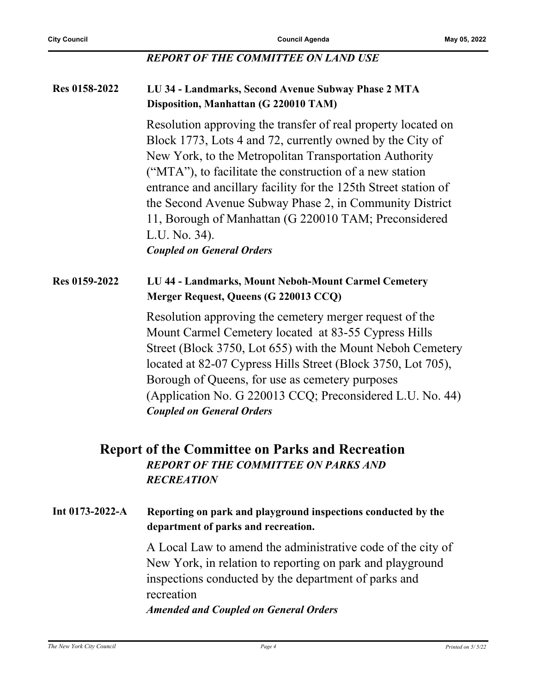#### *REPORT OF THE COMMITTEE ON LAND USE*

#### **Res 0158-2022 LU 34 - Landmarks, Second Avenue Subway Phase 2 MTA Disposition, Manhattan (G 220010 TAM)**

Resolution approving the transfer of real property located on Block 1773, Lots 4 and 72, currently owned by the City of New York, to the Metropolitan Transportation Authority ("MTA"), to facilitate the construction of a new station entrance and ancillary facility for the 125th Street station of the Second Avenue Subway Phase 2, in Community District 11, Borough of Manhattan (G 220010 TAM; Preconsidered L.U. No. 34).

*Coupled on General Orders*

#### **Res 0159-2022 LU 44 - Landmarks, Mount Neboh-Mount Carmel Cemetery Merger Request, Queens (G 220013 CCQ)**

Resolution approving the cemetery merger request of the Mount Carmel Cemetery located at 83-55 Cypress Hills Street (Block 3750, Lot 655) with the Mount Neboh Cemetery located at 82-07 Cypress Hills Street (Block 3750, Lot 705), Borough of Queens, for use as cemetery purposes (Application No. G 220013 CCQ; Preconsidered L.U. No. 44) *Coupled on General Orders*

#### **Report of the Committee on Parks and Recreation** *REPORT OF THE COMMITTEE ON PARKS AND RECREATION*

#### **Int 0173-2022-A Reporting on park and playground inspections conducted by the department of parks and recreation.**

A Local Law to amend the administrative code of the city of New York, in relation to reporting on park and playground inspections conducted by the department of parks and recreation

*Amended and Coupled on General Orders*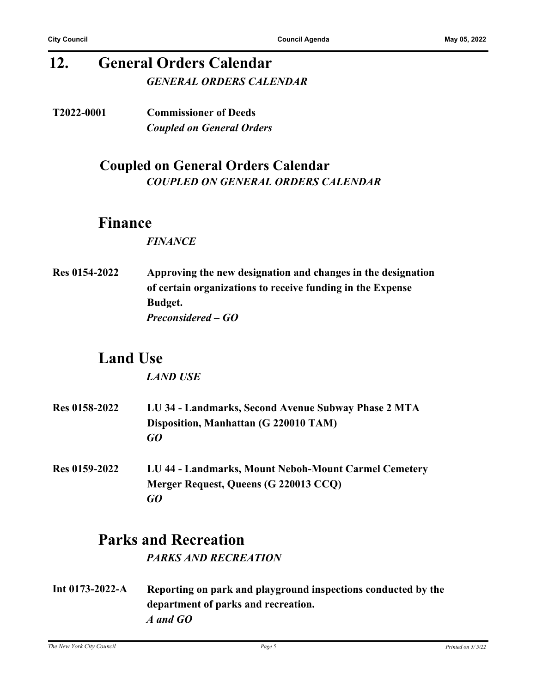## **12. General Orders Calendar** *GENERAL ORDERS CALENDAR*

**T2022-0001 Commissioner of Deeds** *Coupled on General Orders*

### **Coupled on General Orders Calendar** *COUPLED ON GENERAL ORDERS CALENDAR*

### **Finance**

#### *FINANCE*

**Res 0154-2022 Approving the new designation and changes in the designation of certain organizations to receive funding in the Expense Budget.** *Preconsidered – GO*

## **Land Use**

*LAND USE*

- **Res 0158-2022 LU 34 Landmarks, Second Avenue Subway Phase 2 MTA Disposition, Manhattan (G 220010 TAM)** *GO*
- **Res 0159-2022 LU 44 Landmarks, Mount Neboh-Mount Carmel Cemetery Merger Request, Queens (G 220013 CCQ)** *GO*

## **Parks and Recreation**

*PARKS AND RECREATION*

**Int 0173-2022-A Reporting on park and playground inspections conducted by the department of parks and recreation.** *A and GO*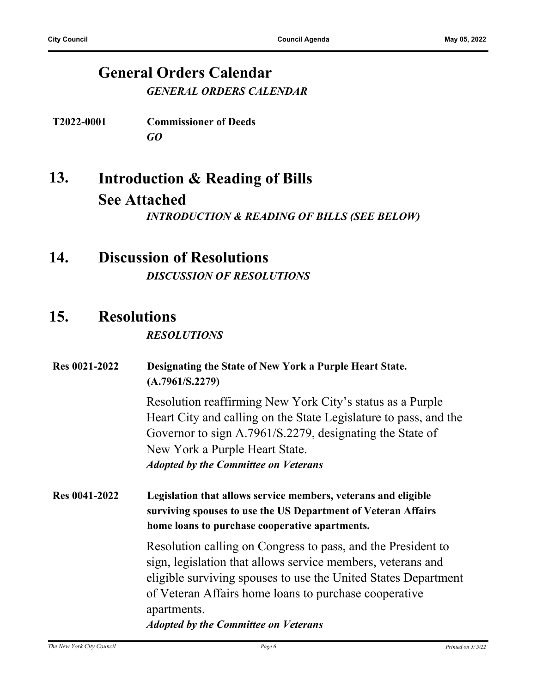### **General Orders Calendar** *GENERAL ORDERS CALENDAR*

**T2022-0001 Commissioner of Deeds** *GO*

- **Introduction & Reading of Bills See Attached 13.** *INTRODUCTION & READING OF BILLS (SEE BELOW)*
- **14. Discussion of Resolutions** *DISCUSSION OF RESOLUTIONS*

## **15. Resolutions**

#### *RESOLUTIONS*

| <b>Res 0021-2022</b> | Designating the State of New York a Purple Heart State.<br>(A.7961/S.2279)                                                                                                                                                                                                                                           |
|----------------------|----------------------------------------------------------------------------------------------------------------------------------------------------------------------------------------------------------------------------------------------------------------------------------------------------------------------|
|                      | Resolution reaffirming New York City's status as a Purple<br>Heart City and calling on the State Legislature to pass, and the<br>Governor to sign A.7961/S.2279, designating the State of<br>New York a Purple Heart State.<br><b>Adopted by the Committee on Veterans</b>                                           |
| <b>Res 0041-2022</b> | Legislation that allows service members, veterans and eligible<br>surviving spouses to use the US Department of Veteran Affairs<br>home loans to purchase cooperative apartments.                                                                                                                                    |
|                      | Resolution calling on Congress to pass, and the President to<br>sign, legislation that allows service members, veterans and<br>eligible surviving spouses to use the United States Department<br>of Veteran Affairs home loans to purchase cooperative<br>apartments.<br><b>Adopted by the Committee on Veterans</b> |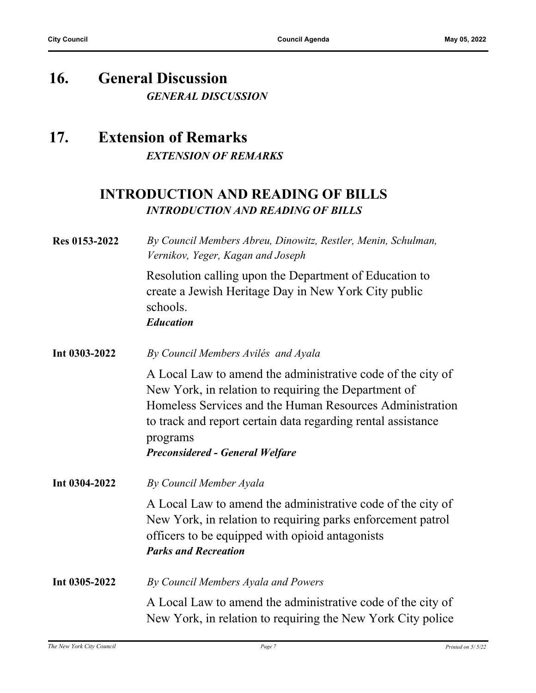## **16. General Discussion** *GENERAL DISCUSSION*

## **17. Extension of Remarks** *EXTENSION OF REMARKS*

## **INTRODUCTION AND READING OF BILLS** *INTRODUCTION AND READING OF BILLS*

| Res 0153-2022 | By Council Members Abreu, Dinowitz, Restler, Menin, Schulman,<br>Vernikov, Yeger, Kagan and Joseph                                                                                                                                                                                                    |
|---------------|-------------------------------------------------------------------------------------------------------------------------------------------------------------------------------------------------------------------------------------------------------------------------------------------------------|
|               | Resolution calling upon the Department of Education to<br>create a Jewish Heritage Day in New York City public<br>schools.<br><b>Education</b>                                                                                                                                                        |
| Int 0303-2022 | By Council Members Avilés and Ayala                                                                                                                                                                                                                                                                   |
|               | A Local Law to amend the administrative code of the city of<br>New York, in relation to requiring the Department of<br>Homeless Services and the Human Resources Administration<br>to track and report certain data regarding rental assistance<br>programs<br><b>Preconsidered - General Welfare</b> |
| Int 0304-2022 | By Council Member Ayala                                                                                                                                                                                                                                                                               |
|               | A Local Law to amend the administrative code of the city of<br>New York, in relation to requiring parks enforcement patrol<br>officers to be equipped with opioid antagonists<br><b>Parks and Recreation</b>                                                                                          |
| Int 0305-2022 | By Council Members Ayala and Powers                                                                                                                                                                                                                                                                   |
|               | A Local Law to amend the administrative code of the city of<br>New York, in relation to requiring the New York City police                                                                                                                                                                            |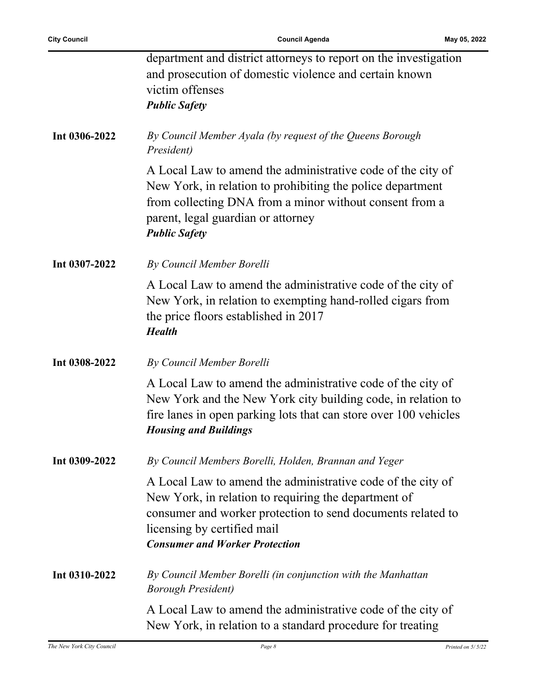Ĭ.

|               | department and district attorneys to report on the investigation<br>and prosecution of domestic violence and certain known<br>victim offenses<br><b>Public Safety</b>                                                                                      |
|---------------|------------------------------------------------------------------------------------------------------------------------------------------------------------------------------------------------------------------------------------------------------------|
| Int 0306-2022 | By Council Member Ayala (by request of the Queens Borough<br>President)                                                                                                                                                                                    |
|               | A Local Law to amend the administrative code of the city of<br>New York, in relation to prohibiting the police department<br>from collecting DNA from a minor without consent from a<br>parent, legal guardian or attorney<br><b>Public Safety</b>         |
| Int 0307-2022 | By Council Member Borelli                                                                                                                                                                                                                                  |
|               | A Local Law to amend the administrative code of the city of<br>New York, in relation to exempting hand-rolled cigars from<br>the price floors established in 2017<br><b>Health</b>                                                                         |
| Int 0308-2022 | By Council Member Borelli                                                                                                                                                                                                                                  |
|               | A Local Law to amend the administrative code of the city of<br>New York and the New York city building code, in relation to<br>fire lanes in open parking lots that can store over 100 vehicles<br><b>Housing and Buildings</b>                            |
| Int 0309-2022 | By Council Members Borelli, Holden, Brannan and Yeger                                                                                                                                                                                                      |
|               | A Local Law to amend the administrative code of the city of<br>New York, in relation to requiring the department of<br>consumer and worker protection to send documents related to<br>licensing by certified mail<br><b>Consumer and Worker Protection</b> |
| Int 0310-2022 | By Council Member Borelli (in conjunction with the Manhattan<br><b>Borough President</b> )                                                                                                                                                                 |
|               | A Local Law to amend the administrative code of the city of<br>New York, in relation to a standard procedure for treating                                                                                                                                  |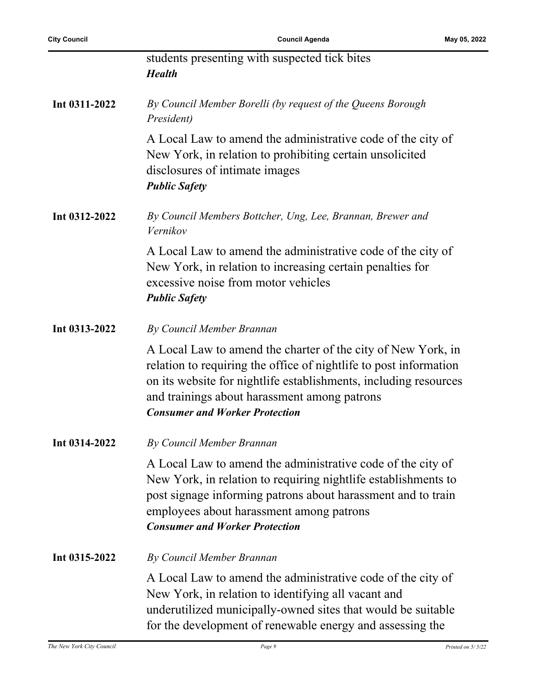| <b>City Council</b> | <b>Council Agenda</b><br>May 05, 2022                                                                                                                                                                                                                                                          |  |
|---------------------|------------------------------------------------------------------------------------------------------------------------------------------------------------------------------------------------------------------------------------------------------------------------------------------------|--|
|                     | students presenting with suspected tick bites<br><b>Health</b>                                                                                                                                                                                                                                 |  |
| Int 0311-2022       | By Council Member Borelli (by request of the Queens Borough<br>President)                                                                                                                                                                                                                      |  |
|                     | A Local Law to amend the administrative code of the city of<br>New York, in relation to prohibiting certain unsolicited<br>disclosures of intimate images<br><b>Public Safety</b>                                                                                                              |  |
| Int 0312-2022       | By Council Members Bottcher, Ung, Lee, Brannan, Brewer and<br>Vernikov                                                                                                                                                                                                                         |  |
|                     | A Local Law to amend the administrative code of the city of<br>New York, in relation to increasing certain penalties for<br>excessive noise from motor vehicles<br><b>Public Safety</b>                                                                                                        |  |
| Int 0313-2022       | By Council Member Brannan                                                                                                                                                                                                                                                                      |  |
|                     | A Local Law to amend the charter of the city of New York, in<br>relation to requiring the office of nightlife to post information<br>on its website for nightlife establishments, including resources<br>and trainings about harassment among patrons<br><b>Consumer and Worker Protection</b> |  |
| Int 0314-2022       | By Council Member Brannan                                                                                                                                                                                                                                                                      |  |
|                     | A Local Law to amend the administrative code of the city of<br>New York, in relation to requiring nightlife establishments to<br>post signage informing patrons about harassment and to train<br>employees about harassment among patrons<br><b>Consumer and Worker Protection</b>             |  |
| Int 0315-2022       | By Council Member Brannan                                                                                                                                                                                                                                                                      |  |

A Local Law to amend the administrative code of the city of New York, in relation to identifying all vacant and underutilized municipally-owned sites that would be suitable for the development of renewable energy and assessing the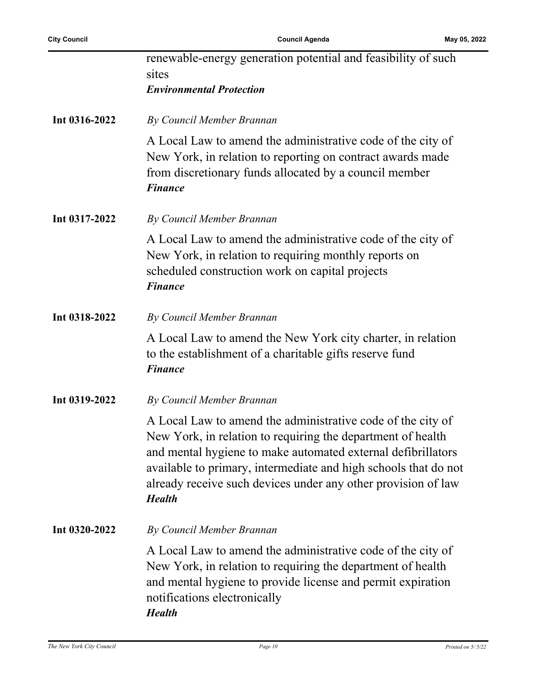l,

|               | renewable-energy generation potential and feasibility of such<br>sites<br><b>Environmental Protection</b>                                                                                                                                                                                                                                       |
|---------------|-------------------------------------------------------------------------------------------------------------------------------------------------------------------------------------------------------------------------------------------------------------------------------------------------------------------------------------------------|
| Int 0316-2022 | By Council Member Brannan                                                                                                                                                                                                                                                                                                                       |
|               | A Local Law to amend the administrative code of the city of<br>New York, in relation to reporting on contract awards made<br>from discretionary funds allocated by a council member<br><b>Finance</b>                                                                                                                                           |
| Int 0317-2022 | By Council Member Brannan                                                                                                                                                                                                                                                                                                                       |
|               | A Local Law to amend the administrative code of the city of<br>New York, in relation to requiring monthly reports on<br>scheduled construction work on capital projects<br><b>Finance</b>                                                                                                                                                       |
| Int 0318-2022 | By Council Member Brannan                                                                                                                                                                                                                                                                                                                       |
|               | A Local Law to amend the New York city charter, in relation<br>to the establishment of a charitable gifts reserve fund<br><b>Finance</b>                                                                                                                                                                                                        |
| Int 0319-2022 | By Council Member Brannan                                                                                                                                                                                                                                                                                                                       |
|               | A Local Law to amend the administrative code of the city of<br>New York, in relation to requiring the department of health<br>and mental hygiene to make automated external defibrillators<br>available to primary, intermediate and high schools that do not<br>already receive such devices under any other provision of law<br><b>Health</b> |
| Int 0320-2022 | By Council Member Brannan                                                                                                                                                                                                                                                                                                                       |
|               | A Local Law to amend the administrative code of the city of<br>New York, in relation to requiring the department of health<br>and mental hygiene to provide license and permit expiration<br>notifications electronically<br><b>Health</b>                                                                                                      |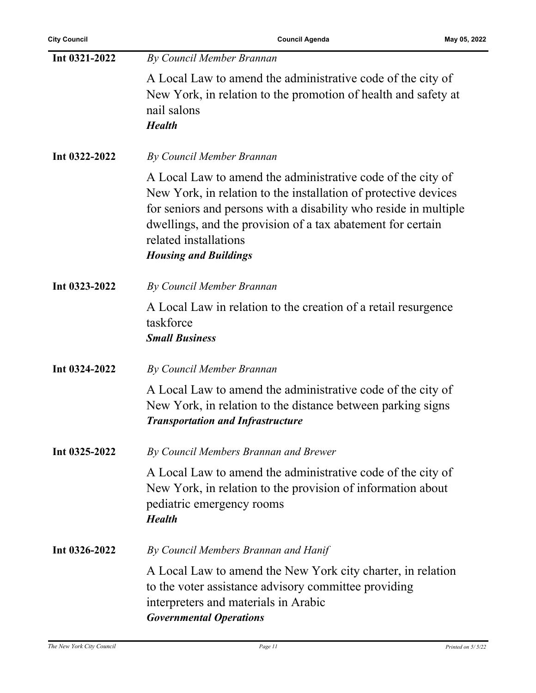| Int 0321-2022 | By Council Member Brannan                                                                                                                                                                                                                                                                                                  |
|---------------|----------------------------------------------------------------------------------------------------------------------------------------------------------------------------------------------------------------------------------------------------------------------------------------------------------------------------|
|               | A Local Law to amend the administrative code of the city of<br>New York, in relation to the promotion of health and safety at<br>nail salons<br><b>Health</b>                                                                                                                                                              |
| Int 0322-2022 | By Council Member Brannan                                                                                                                                                                                                                                                                                                  |
|               | A Local Law to amend the administrative code of the city of<br>New York, in relation to the installation of protective devices<br>for seniors and persons with a disability who reside in multiple<br>dwellings, and the provision of a tax abatement for certain<br>related installations<br><b>Housing and Buildings</b> |
| Int 0323-2022 | By Council Member Brannan                                                                                                                                                                                                                                                                                                  |
|               | A Local Law in relation to the creation of a retail resurgence<br>taskforce<br><b>Small Business</b>                                                                                                                                                                                                                       |
| Int 0324-2022 | By Council Member Brannan                                                                                                                                                                                                                                                                                                  |
|               | A Local Law to amend the administrative code of the city of<br>New York, in relation to the distance between parking signs<br><b>Transportation and Infrastructure</b>                                                                                                                                                     |
| Int 0325-2022 | By Council Members Brannan and Brewer                                                                                                                                                                                                                                                                                      |
|               | A Local Law to amend the administrative code of the city of<br>New York, in relation to the provision of information about<br>pediatric emergency rooms<br><b>Health</b>                                                                                                                                                   |
| Int 0326-2022 | By Council Members Brannan and Hanif                                                                                                                                                                                                                                                                                       |
|               | A Local Law to amend the New York city charter, in relation<br>to the voter assistance advisory committee providing<br>interpreters and materials in Arabic<br><b>Governmental Operations</b>                                                                                                                              |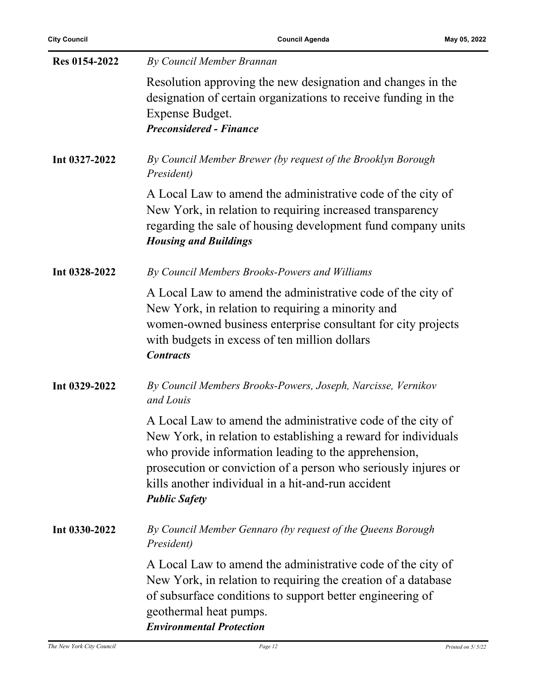| Res 0154-2022 | By Council Member Brannan                                                                                                                                                                                                                                                                                                             |
|---------------|---------------------------------------------------------------------------------------------------------------------------------------------------------------------------------------------------------------------------------------------------------------------------------------------------------------------------------------|
|               | Resolution approving the new designation and changes in the<br>designation of certain organizations to receive funding in the<br>Expense Budget.<br><b>Preconsidered - Finance</b>                                                                                                                                                    |
| Int 0327-2022 | By Council Member Brewer (by request of the Brooklyn Borough<br>President)                                                                                                                                                                                                                                                            |
|               | A Local Law to amend the administrative code of the city of<br>New York, in relation to requiring increased transparency<br>regarding the sale of housing development fund company units<br><b>Housing and Buildings</b>                                                                                                              |
| Int 0328-2022 | By Council Members Brooks-Powers and Williams                                                                                                                                                                                                                                                                                         |
|               | A Local Law to amend the administrative code of the city of<br>New York, in relation to requiring a minority and<br>women-owned business enterprise consultant for city projects<br>with budgets in excess of ten million dollars<br><b>Contracts</b>                                                                                 |
| Int 0329-2022 | By Council Members Brooks-Powers, Joseph, Narcisse, Vernikov<br>and Louis                                                                                                                                                                                                                                                             |
|               | A Local Law to amend the administrative code of the city of<br>New York, in relation to establishing a reward for individuals<br>who provide information leading to the apprehension,<br>prosecution or conviction of a person who seriously injures or<br>kills another individual in a hit-and-run accident<br><b>Public Safety</b> |
| Int 0330-2022 | By Council Member Gennaro (by request of the Queens Borough<br>President)                                                                                                                                                                                                                                                             |
|               | A Local Law to amend the administrative code of the city of<br>New York, in relation to requiring the creation of a database<br>of subsurface conditions to support better engineering of<br>geothermal heat pumps.<br><b>Environmental Protection</b>                                                                                |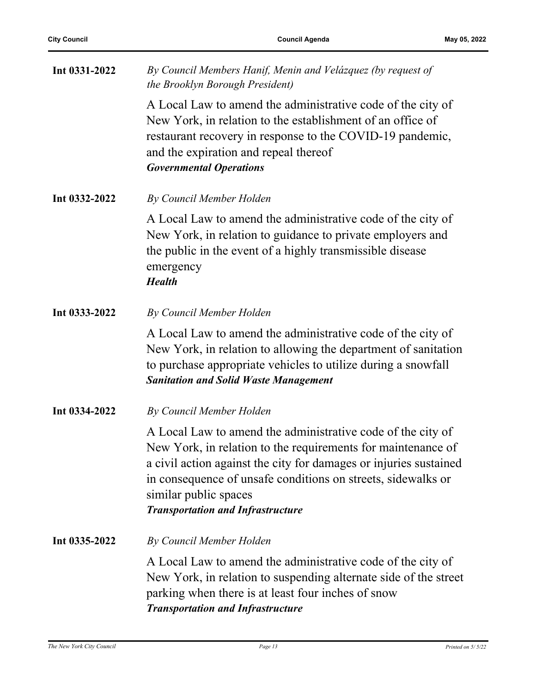| Int 0331-2022 | By Council Members Hanif, Menin and Velázquez (by request of<br>the Brooklyn Borough President)                                                                                                                                                                                                                                       |
|---------------|---------------------------------------------------------------------------------------------------------------------------------------------------------------------------------------------------------------------------------------------------------------------------------------------------------------------------------------|
|               | A Local Law to amend the administrative code of the city of<br>New York, in relation to the establishment of an office of<br>restaurant recovery in response to the COVID-19 pandemic,<br>and the expiration and repeal thereof<br><b>Governmental Operations</b>                                                                     |
| Int 0332-2022 | By Council Member Holden                                                                                                                                                                                                                                                                                                              |
|               | A Local Law to amend the administrative code of the city of<br>New York, in relation to guidance to private employers and<br>the public in the event of a highly transmissible disease<br>emergency<br><b>Health</b>                                                                                                                  |
| Int 0333-2022 | By Council Member Holden                                                                                                                                                                                                                                                                                                              |
|               | A Local Law to amend the administrative code of the city of<br>New York, in relation to allowing the department of sanitation<br>to purchase appropriate vehicles to utilize during a snowfall<br><b>Sanitation and Solid Waste Management</b>                                                                                        |
| Int 0334-2022 | By Council Member Holden                                                                                                                                                                                                                                                                                                              |
|               | A Local Law to amend the administrative code of the city of<br>New York, in relation to the requirements for maintenance of<br>a civil action against the city for damages or injuries sustained<br>in consequence of unsafe conditions on streets, sidewalks or<br>similar public spaces<br><b>Transportation and Infrastructure</b> |
| Int 0335-2022 | By Council Member Holden                                                                                                                                                                                                                                                                                                              |
|               | A Local Law to amend the administrative code of the city of<br>New York, in relation to suspending alternate side of the street<br>parking when there is at least four inches of snow<br><b>Transportation and Infrastructure</b>                                                                                                     |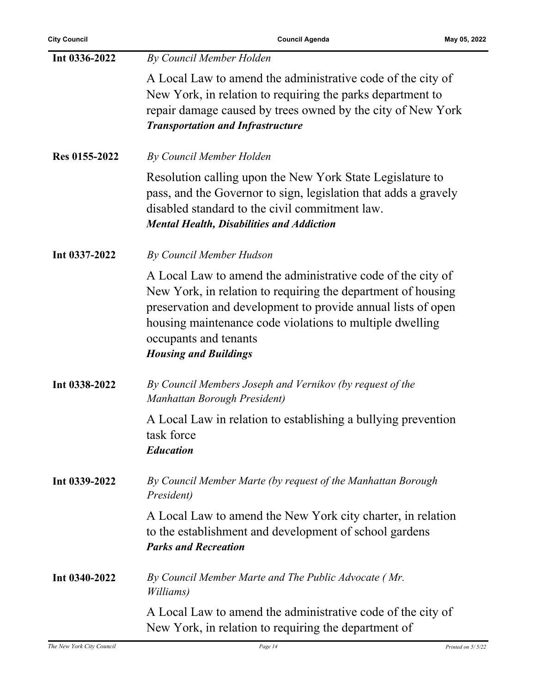| Int 0336-2022 | By Council Member Holden                                                                                                                                                                                                                                                                                         |
|---------------|------------------------------------------------------------------------------------------------------------------------------------------------------------------------------------------------------------------------------------------------------------------------------------------------------------------|
|               | A Local Law to amend the administrative code of the city of<br>New York, in relation to requiring the parks department to<br>repair damage caused by trees owned by the city of New York<br><b>Transportation and Infrastructure</b>                                                                             |
| Res 0155-2022 | By Council Member Holden                                                                                                                                                                                                                                                                                         |
|               | Resolution calling upon the New York State Legislature to<br>pass, and the Governor to sign, legislation that adds a gravely<br>disabled standard to the civil commitment law.<br><b>Mental Health, Disabilities and Addiction</b>                                                                               |
| Int 0337-2022 | By Council Member Hudson                                                                                                                                                                                                                                                                                         |
|               | A Local Law to amend the administrative code of the city of<br>New York, in relation to requiring the department of housing<br>preservation and development to provide annual lists of open<br>housing maintenance code violations to multiple dwelling<br>occupants and tenants<br><b>Housing and Buildings</b> |
| Int 0338-2022 | By Council Members Joseph and Vernikov (by request of the<br>Manhattan Borough President)                                                                                                                                                                                                                        |
|               | A Local Law in relation to establishing a bullying prevention<br>task force<br><b>Education</b>                                                                                                                                                                                                                  |
| Int 0339-2022 | By Council Member Marte (by request of the Manhattan Borough<br>President)                                                                                                                                                                                                                                       |
|               | A Local Law to amend the New York city charter, in relation<br>to the establishment and development of school gardens<br><b>Parks and Recreation</b>                                                                                                                                                             |
| Int 0340-2022 | By Council Member Marte and The Public Advocate (Mr.<br>Williams)                                                                                                                                                                                                                                                |
|               | A Local Law to amend the administrative code of the city of<br>New York, in relation to requiring the department of                                                                                                                                                                                              |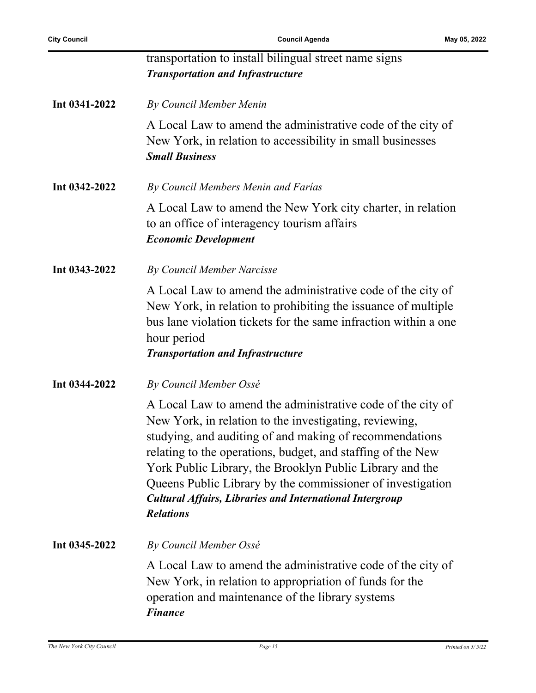|               | transportation to install bilingual street name signs<br><b>Transportation and Infrastructure</b>                                                                                                                                                                                                                                                                                                                                                                |
|---------------|------------------------------------------------------------------------------------------------------------------------------------------------------------------------------------------------------------------------------------------------------------------------------------------------------------------------------------------------------------------------------------------------------------------------------------------------------------------|
| Int 0341-2022 | By Council Member Menin                                                                                                                                                                                                                                                                                                                                                                                                                                          |
|               | A Local Law to amend the administrative code of the city of<br>New York, in relation to accessibility in small businesses<br><b>Small Business</b>                                                                                                                                                                                                                                                                                                               |
| Int 0342-2022 | By Council Members Menin and Farías                                                                                                                                                                                                                                                                                                                                                                                                                              |
|               | A Local Law to amend the New York city charter, in relation<br>to an office of interagency tourism affairs<br><b>Economic Development</b>                                                                                                                                                                                                                                                                                                                        |
| Int 0343-2022 | By Council Member Narcisse                                                                                                                                                                                                                                                                                                                                                                                                                                       |
|               | A Local Law to amend the administrative code of the city of<br>New York, in relation to prohibiting the issuance of multiple<br>bus lane violation tickets for the same infraction within a one<br>hour period<br><b>Transportation and Infrastructure</b>                                                                                                                                                                                                       |
| Int 0344-2022 | By Council Member Ossé                                                                                                                                                                                                                                                                                                                                                                                                                                           |
|               | A Local Law to amend the administrative code of the city of<br>New York, in relation to the investigating, reviewing,<br>studying, and auditing of and making of recommendations<br>relating to the operations, budget, and staffing of the New<br>York Public Library, the Brooklyn Public Library and the<br>Queens Public Library by the commissioner of investigation<br><b>Cultural Affairs, Libraries and International Intergroup</b><br><b>Relations</b> |
| Int 0345-2022 | By Council Member Ossé                                                                                                                                                                                                                                                                                                                                                                                                                                           |
|               | A Local Law to amend the administrative code of the city of<br>New York, in relation to appropriation of funds for the<br>operation and maintenance of the library systems<br><b>Finance</b>                                                                                                                                                                                                                                                                     |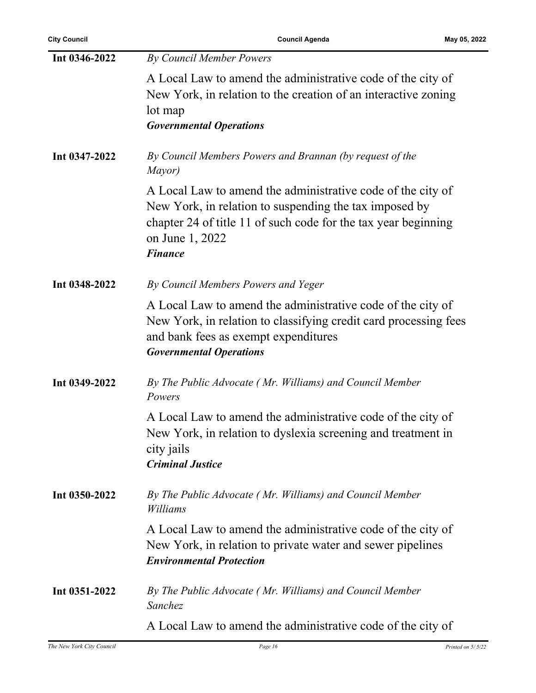| Int 0346-2022 | By Council Member Powers                                                                                                                                                                                                     |
|---------------|------------------------------------------------------------------------------------------------------------------------------------------------------------------------------------------------------------------------------|
|               | A Local Law to amend the administrative code of the city of<br>New York, in relation to the creation of an interactive zoning<br>lot map<br><b>Governmental Operations</b>                                                   |
| Int 0347-2022 | By Council Members Powers and Brannan (by request of the<br>Mayor)                                                                                                                                                           |
|               | A Local Law to amend the administrative code of the city of<br>New York, in relation to suspending the tax imposed by<br>chapter 24 of title 11 of such code for the tax year beginning<br>on June 1, 2022<br><b>Finance</b> |
| Int 0348-2022 | By Council Members Powers and Yeger                                                                                                                                                                                          |
|               | A Local Law to amend the administrative code of the city of<br>New York, in relation to classifying credit card processing fees<br>and bank fees as exempt expenditures<br><b>Governmental Operations</b>                    |
| Int 0349-2022 | By The Public Advocate (Mr. Williams) and Council Member<br>Powers                                                                                                                                                           |
|               | A Local Law to amend the administrative code of the city of<br>New York, in relation to dyslexia screening and treatment in<br>city jails<br><b>Criminal Justice</b>                                                         |
| Int 0350-2022 | By The Public Advocate (Mr. Williams) and Council Member<br>Williams                                                                                                                                                         |
|               | A Local Law to amend the administrative code of the city of<br>New York, in relation to private water and sewer pipelines<br><b>Environmental Protection</b>                                                                 |
| Int 0351-2022 | By The Public Advocate (Mr. Williams) and Council Member<br>Sanchez                                                                                                                                                          |
|               | A Local Law to amend the administrative code of the city of                                                                                                                                                                  |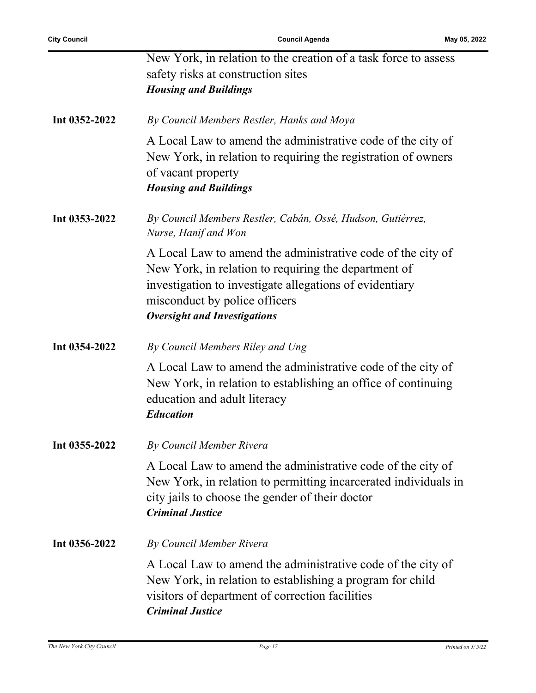|               | New York, in relation to the creation of a task force to assess<br>safety risks at construction sites<br><b>Housing and Buildings</b>                                                                                                                  |
|---------------|--------------------------------------------------------------------------------------------------------------------------------------------------------------------------------------------------------------------------------------------------------|
| Int 0352-2022 | By Council Members Restler, Hanks and Moya                                                                                                                                                                                                             |
|               | A Local Law to amend the administrative code of the city of<br>New York, in relation to requiring the registration of owners<br>of vacant property<br><b>Housing and Buildings</b>                                                                     |
| Int 0353-2022 | By Council Members Restler, Cabán, Ossé, Hudson, Gutiérrez,<br>Nurse, Hanif and Won                                                                                                                                                                    |
|               | A Local Law to amend the administrative code of the city of<br>New York, in relation to requiring the department of<br>investigation to investigate allegations of evidentiary<br>misconduct by police officers<br><b>Oversight and Investigations</b> |
| Int 0354-2022 | By Council Members Riley and Ung                                                                                                                                                                                                                       |
|               | A Local Law to amend the administrative code of the city of<br>New York, in relation to establishing an office of continuing<br>education and adult literacy<br><b>Education</b>                                                                       |
| Int 0355-2022 | By Council Member Rivera                                                                                                                                                                                                                               |
|               | A Local Law to amend the administrative code of the city of<br>New York, in relation to permitting incarcerated individuals in<br>city jails to choose the gender of their doctor<br><b>Criminal Justice</b>                                           |
| Int 0356-2022 | By Council Member Rivera                                                                                                                                                                                                                               |
|               | A Local Law to amend the administrative code of the city of<br>New York, in relation to establishing a program for child<br>visitors of department of correction facilities<br><b>Criminal Justice</b>                                                 |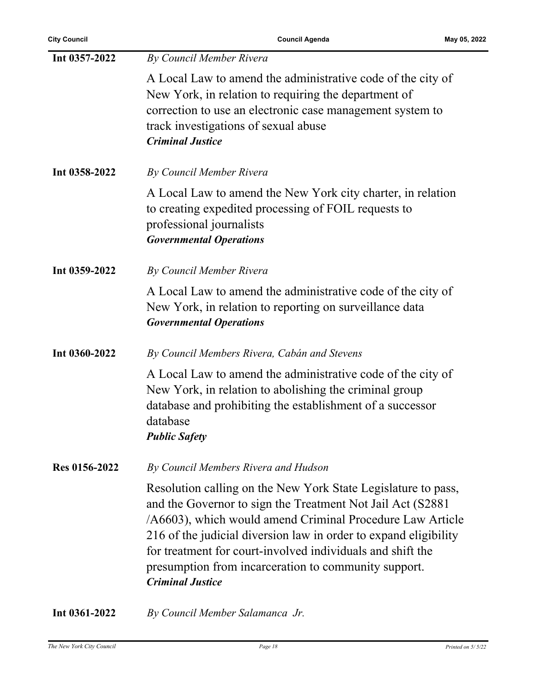| Int 0357-2022 | By Council Member Rivera                                                                                                                                                                                                                                                                                                                                                                                       |
|---------------|----------------------------------------------------------------------------------------------------------------------------------------------------------------------------------------------------------------------------------------------------------------------------------------------------------------------------------------------------------------------------------------------------------------|
|               | A Local Law to amend the administrative code of the city of<br>New York, in relation to requiring the department of<br>correction to use an electronic case management system to<br>track investigations of sexual abuse<br><b>Criminal Justice</b>                                                                                                                                                            |
| Int 0358-2022 | By Council Member Rivera                                                                                                                                                                                                                                                                                                                                                                                       |
|               | A Local Law to amend the New York city charter, in relation<br>to creating expedited processing of FOIL requests to<br>professional journalists<br><b>Governmental Operations</b>                                                                                                                                                                                                                              |
| Int 0359-2022 | By Council Member Rivera                                                                                                                                                                                                                                                                                                                                                                                       |
|               | A Local Law to amend the administrative code of the city of<br>New York, in relation to reporting on surveillance data<br><b>Governmental Operations</b>                                                                                                                                                                                                                                                       |
| Int 0360-2022 | By Council Members Rivera, Cabán and Stevens                                                                                                                                                                                                                                                                                                                                                                   |
|               | A Local Law to amend the administrative code of the city of<br>New York, in relation to abolishing the criminal group<br>database and prohibiting the establishment of a successor<br>database<br><b>Public Safety</b>                                                                                                                                                                                         |
| Res 0156-2022 | By Council Members Rivera and Hudson                                                                                                                                                                                                                                                                                                                                                                           |
|               | Resolution calling on the New York State Legislature to pass,<br>and the Governor to sign the Treatment Not Jail Act (S2881)<br>/A6603), which would amend Criminal Procedure Law Article<br>216 of the judicial diversion law in order to expand eligibility<br>for treatment for court-involved individuals and shift the<br>presumption from incarceration to community support.<br><b>Criminal Justice</b> |
| Int 0361-2022 | By Council Member Salamanca Jr.                                                                                                                                                                                                                                                                                                                                                                                |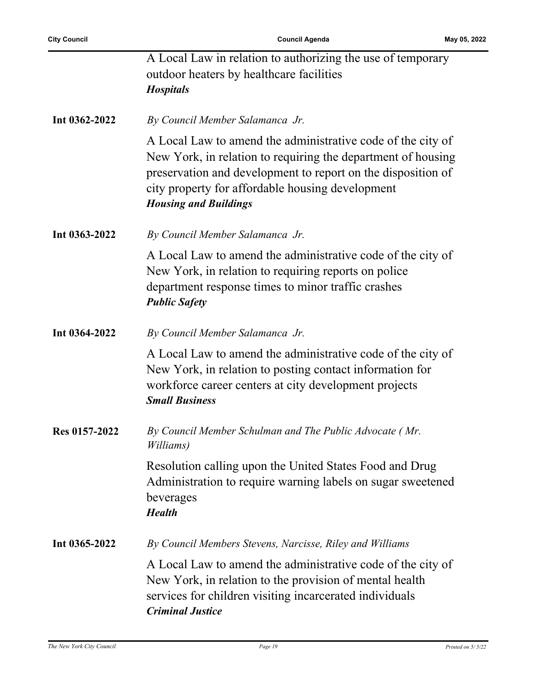|               | A Local Law in relation to authorizing the use of temporary<br>outdoor heaters by healthcare facilities<br><b>Hospitals</b>                                                                                                                                                     |
|---------------|---------------------------------------------------------------------------------------------------------------------------------------------------------------------------------------------------------------------------------------------------------------------------------|
| Int 0362-2022 | By Council Member Salamanca Jr.                                                                                                                                                                                                                                                 |
|               | A Local Law to amend the administrative code of the city of<br>New York, in relation to requiring the department of housing<br>preservation and development to report on the disposition of<br>city property for affordable housing development<br><b>Housing and Buildings</b> |
| Int 0363-2022 | By Council Member Salamanca Jr.                                                                                                                                                                                                                                                 |
|               | A Local Law to amend the administrative code of the city of<br>New York, in relation to requiring reports on police<br>department response times to minor traffic crashes<br><b>Public Safety</b>                                                                               |
| Int 0364-2022 | By Council Member Salamanca Jr.                                                                                                                                                                                                                                                 |
|               | A Local Law to amend the administrative code of the city of<br>New York, in relation to posting contact information for<br>workforce career centers at city development projects<br><b>Small Business</b>                                                                       |
| Res 0157-2022 | By Council Member Schulman and The Public Advocate (Mr.<br>Williams)                                                                                                                                                                                                            |
|               | Resolution calling upon the United States Food and Drug<br>Administration to require warning labels on sugar sweetened<br>beverages<br><b>Health</b>                                                                                                                            |
| Int 0365-2022 | By Council Members Stevens, Narcisse, Riley and Williams                                                                                                                                                                                                                        |
|               | A Local Law to amend the administrative code of the city of<br>New York, in relation to the provision of mental health<br>services for children visiting incarcerated individuals<br><b>Criminal Justice</b>                                                                    |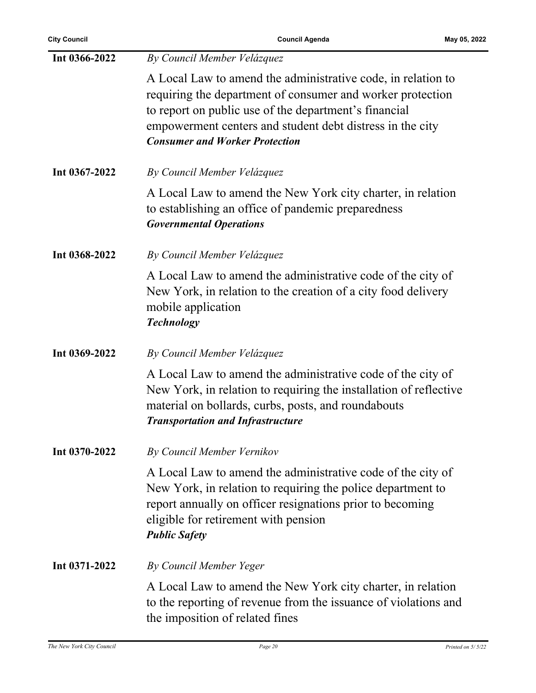| Int 0366-2022 | By Council Member Velázquez                                                                                                                                                                                                                                                               |
|---------------|-------------------------------------------------------------------------------------------------------------------------------------------------------------------------------------------------------------------------------------------------------------------------------------------|
|               | A Local Law to amend the administrative code, in relation to<br>requiring the department of consumer and worker protection<br>to report on public use of the department's financial<br>empowerment centers and student debt distress in the city<br><b>Consumer and Worker Protection</b> |
| Int 0367-2022 | By Council Member Velázquez                                                                                                                                                                                                                                                               |
|               | A Local Law to amend the New York city charter, in relation<br>to establishing an office of pandemic preparedness<br><b>Governmental Operations</b>                                                                                                                                       |
| Int 0368-2022 | By Council Member Velázquez                                                                                                                                                                                                                                                               |
|               | A Local Law to amend the administrative code of the city of<br>New York, in relation to the creation of a city food delivery<br>mobile application<br><b>Technology</b>                                                                                                                   |
| Int 0369-2022 | By Council Member Velázquez                                                                                                                                                                                                                                                               |
|               | A Local Law to amend the administrative code of the city of<br>New York, in relation to requiring the installation of reflective<br>material on bollards, curbs, posts, and roundabouts<br><b>Transportation and Infrastructure</b>                                                       |
| Int 0370-2022 | By Council Member Vernikov                                                                                                                                                                                                                                                                |
|               | A Local Law to amend the administrative code of the city of<br>New York, in relation to requiring the police department to<br>report annually on officer resignations prior to becoming<br>eligible for retirement with pension<br><b>Public Safety</b>                                   |
| Int 0371-2022 | By Council Member Yeger                                                                                                                                                                                                                                                                   |
|               | A Local Law to amend the New York city charter, in relation<br>to the reporting of revenue from the issuance of violations and<br>the imposition of related fines                                                                                                                         |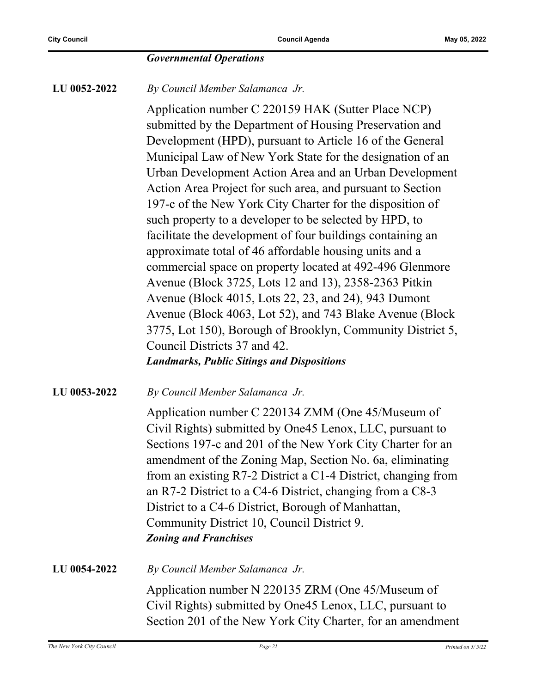#### *Governmental Operations*

**LU 0052-2022** *By Council Member Salamanca Jr.*

Application number C 220159 HAK (Sutter Place NCP) submitted by the Department of Housing Preservation and Development (HPD), pursuant to Article 16 of the General Municipal Law of New York State for the designation of an Urban Development Action Area and an Urban Development Action Area Project for such area, and pursuant to Section 197-c of the New York City Charter for the disposition of such property to a developer to be selected by HPD, to facilitate the development of four buildings containing an approximate total of 46 affordable housing units and a commercial space on property located at 492-496 Glenmore Avenue (Block 3725, Lots 12 and 13), 2358-2363 Pitkin Avenue (Block 4015, Lots 22, 23, and 24), 943 Dumont Avenue (Block 4063, Lot 52), and 743 Blake Avenue (Block 3775, Lot 150), Borough of Brooklyn, Community District 5, Council Districts 37 and 42. *Landmarks, Public Sitings and Dispositions*

**LU 0053-2022** *By Council Member Salamanca Jr.*

Application number C 220134 ZMM (One 45/Museum of Civil Rights) submitted by One45 Lenox, LLC, pursuant to Sections 197-c and 201 of the New York City Charter for an amendment of the Zoning Map, Section No. 6a, eliminating from an existing R7-2 District a C1-4 District, changing from an R7-2 District to a C4-6 District, changing from a C8-3 District to a C4-6 District, Borough of Manhattan, Community District 10, Council District 9. *Zoning and Franchises*

**LU 0054-2022** *By Council Member Salamanca Jr.* Application number N 220135 ZRM (One 45/Museum of Civil Rights) submitted by One45 Lenox, LLC, pursuant to Section 201 of the New York City Charter, for an amendment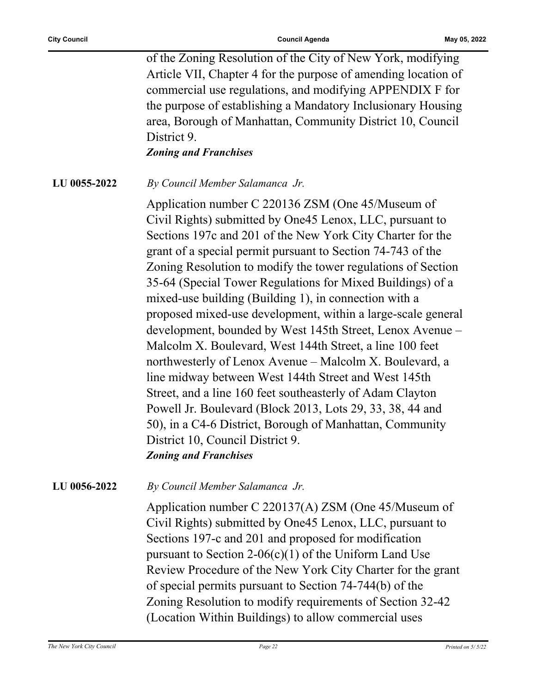of the Zoning Resolution of the City of New York, modifying Article VII, Chapter 4 for the purpose of amending location of commercial use regulations, and modifying APPENDIX F for the purpose of establishing a Mandatory Inclusionary Housing area, Borough of Manhattan, Community District 10, Council District 9.

*Zoning and Franchises*

**LU 0055-2022** *By Council Member Salamanca Jr.*

Application number C 220136 ZSM (One 45/Museum of Civil Rights) submitted by One45 Lenox, LLC, pursuant to Sections 197c and 201 of the New York City Charter for the grant of a special permit pursuant to Section 74-743 of the Zoning Resolution to modify the tower regulations of Section 35-64 (Special Tower Regulations for Mixed Buildings) of a mixed-use building (Building 1), in connection with a proposed mixed-use development, within a large-scale general development, bounded by West 145th Street, Lenox Avenue – Malcolm X. Boulevard, West 144th Street, a line 100 feet northwesterly of Lenox Avenue – Malcolm X. Boulevard, a line midway between West 144th Street and West 145th Street, and a line 160 feet southeasterly of Adam Clayton Powell Jr. Boulevard (Block 2013, Lots 29, 33, 38, 44 and 50), in a C4-6 District, Borough of Manhattan, Community District 10, Council District 9. *Zoning and Franchises*

**LU 0056-2022** *By Council Member Salamanca Jr.*

Application number C 220137(A) ZSM (One 45/Museum of Civil Rights) submitted by One45 Lenox, LLC, pursuant to Sections 197-c and 201 and proposed for modification pursuant to Section 2-06(c)(1) of the Uniform Land Use Review Procedure of the New York City Charter for the grant of special permits pursuant to Section 74-744(b) of the Zoning Resolution to modify requirements of Section 32-42 (Location Within Buildings) to allow commercial uses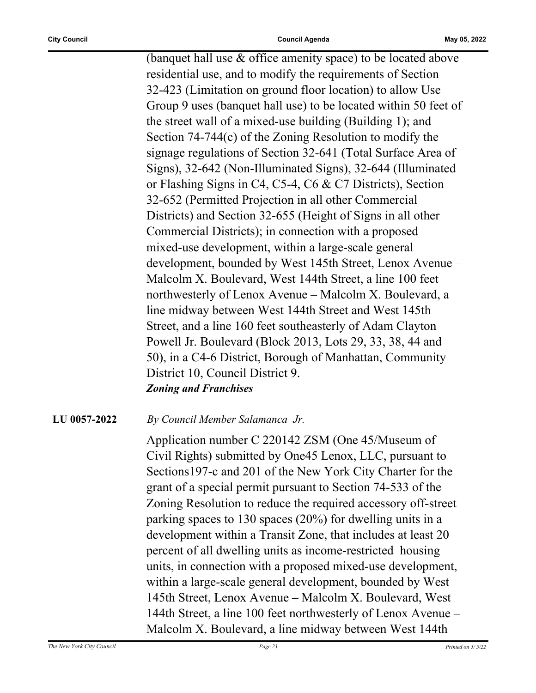(banquet hall use & office amenity space) to be located above residential use, and to modify the requirements of Section 32-423 (Limitation on ground floor location) to allow Use Group 9 uses (banquet hall use) to be located within 50 feet of the street wall of a mixed-use building (Building 1); and Section 74-744(c) of the Zoning Resolution to modify the signage regulations of Section 32-641 (Total Surface Area of Signs), 32-642 (Non-Illuminated Signs), 32-644 (Illuminated or Flashing Signs in C4, C5-4, C6 & C7 Districts), Section 32-652 (Permitted Projection in all other Commercial Districts) and Section 32-655 (Height of Signs in all other Commercial Districts); in connection with a proposed mixed-use development, within a large-scale general development, bounded by West 145th Street, Lenox Avenue – Malcolm X. Boulevard, West 144th Street, a line 100 feet northwesterly of Lenox Avenue – Malcolm X. Boulevard, a line midway between West 144th Street and West 145th Street, and a line 160 feet southeasterly of Adam Clayton Powell Jr. Boulevard (Block 2013, Lots 29, 33, 38, 44 and 50), in a C4-6 District, Borough of Manhattan, Community District 10, Council District 9. *Zoning and Franchises*

**LU 0057-2022** *By Council Member Salamanca Jr.*

Application number C 220142 ZSM (One 45/Museum of Civil Rights) submitted by One45 Lenox, LLC, pursuant to Sections197-c and 201 of the New York City Charter for the grant of a special permit pursuant to Section 74-533 of the Zoning Resolution to reduce the required accessory off-street parking spaces to 130 spaces (20%) for dwelling units in a development within a Transit Zone, that includes at least 20 percent of all dwelling units as income-restricted housing units, in connection with a proposed mixed-use development, within a large-scale general development, bounded by West 145th Street, Lenox Avenue – Malcolm X. Boulevard, West 144th Street, a line 100 feet northwesterly of Lenox Avenue – Malcolm X. Boulevard, a line midway between West 144th